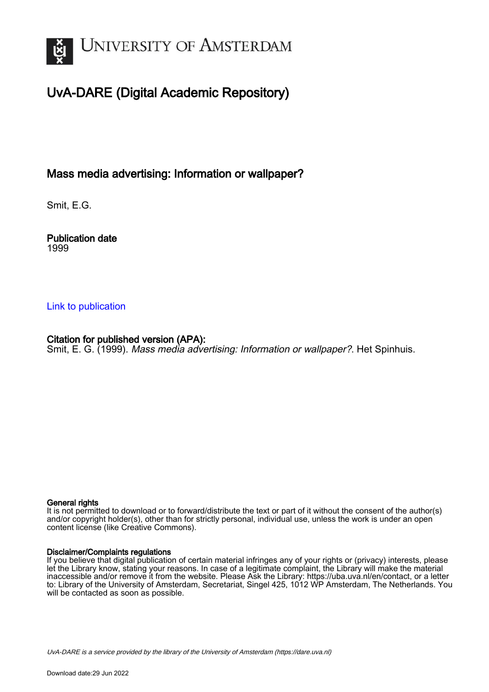

# UvA-DARE (Digital Academic Repository)

## Mass media advertising: Information or wallpaper?

Smit, E.G.

Publication date 1999

#### [Link to publication](https://dare.uva.nl/personal/pure/en/publications/mass-media-advertising-information-or-wallpaper(95e0f7fd-4a3c-4417-af33-740c119be164).html)

### Citation for published version (APA):

Smit, E. G. (1999). Mass media advertising: Information or wallpaper?. Het Spinhuis.

#### General rights

It is not permitted to download or to forward/distribute the text or part of it without the consent of the author(s) and/or copyright holder(s), other than for strictly personal, individual use, unless the work is under an open content license (like Creative Commons).

#### Disclaimer/Complaints regulations

If you believe that digital publication of certain material infringes any of your rights or (privacy) interests, please let the Library know, stating your reasons. In case of a legitimate complaint, the Library will make the material inaccessible and/or remove it from the website. Please Ask the Library: https://uba.uva.nl/en/contact, or a letter to: Library of the University of Amsterdam, Secretariat, Singel 425, 1012 WP Amsterdam, The Netherlands. You will be contacted as soon as possible.